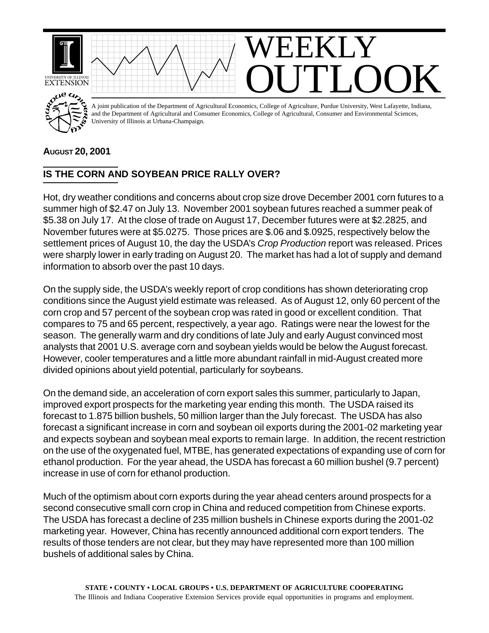

## **AUGUST 20, 2001**

## **IS THE CORN AND SOYBEAN PRICE RALLY OVER?**

Hot, dry weather conditions and concerns about crop size drove December 2001 corn futures to a summer high of \$2.47 on July 13. November 2001 soybean futures reached a summer peak of \$5.38 on July 17. At the close of trade on August 17, December futures were at \$2.2825, and November futures were at \$5.0275. Those prices are \$.06 and \$.0925, respectively below the settlement prices of August 10, the day the USDA's *Crop Production* report was released. Prices were sharply lower in early trading on August 20. The market has had a lot of supply and demand information to absorb over the past 10 days.

On the supply side, the USDA's weekly report of crop conditions has shown deteriorating crop conditions since the August yield estimate was released. As of August 12, only 60 percent of the corn crop and 57 percent of the soybean crop was rated in good or excellent condition. That compares to 75 and 65 percent, respectively, a year ago. Ratings were near the lowest for the season. The generally warm and dry conditions of late July and early August convinced most analysts that 2001 U.S. average corn and soybean yields would be below the August forecast. However, cooler temperatures and a little more abundant rainfall in mid-August created more divided opinions about yield potential, particularly for soybeans.

On the demand side, an acceleration of corn export sales this summer, particularly to Japan, improved export prospects for the marketing year ending this month. The USDA raised its forecast to 1.875 billion bushels, 50 million larger than the July forecast. The USDA has also forecast a significant increase in corn and soybean oil exports during the 2001-02 marketing year and expects soybean and soybean meal exports to remain large. In addition, the recent restriction on the use of the oxygenated fuel, MTBE, has generated expectations of expanding use of corn for ethanol production. For the year ahead, the USDA has forecast a 60 million bushel (9.7 percent) increase in use of corn for ethanol production.

Much of the optimism about corn exports during the year ahead centers around prospects for a second consecutive small corn crop in China and reduced competition from Chinese exports. The USDA has forecast a decline of 235 million bushels in Chinese exports during the 2001-02 marketing year. However, China has recently announced additional corn export tenders. The results of those tenders are not clear, but they may have represented more than 100 million bushels of additional sales by China.